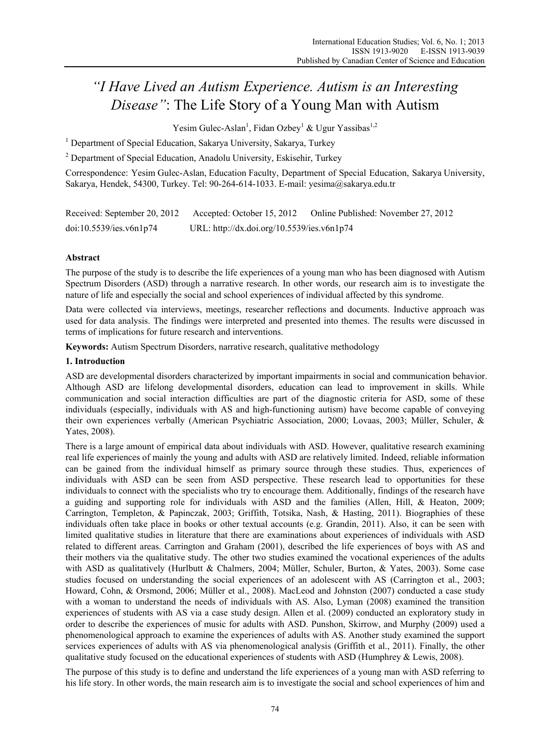# *"I Have Lived an Autism Experience. Autism is an Interesting Disease"*: The Life Story of a Young Man with Autism

Yesim Gulec-Aslan<sup>1</sup>, Fidan Ozbey<sup>1</sup> & Ugur Yassibas<sup>1,2</sup>

<sup>1</sup> Department of Special Education, Sakarya University, Sakarya, Turkey

 $2$  Department of Special Education, Anadolu University, Eskisehir, Turkey

Correspondence: Yesim Gulec-Aslan, Education Faculty, Department of Special Education, Sakarya University, Sakarya, Hendek, 54300, Turkey. Tel: 90-264-614-1033. E-mail: yesima@sakarya.edu.tr

| Received: September 20, 2012 | Accepted: October 15, 2012                 | Online Published: November 27, 2012 |
|------------------------------|--------------------------------------------|-------------------------------------|
| doi:10.5539/ies.v6n1p74      | URL: http://dx.doi.org/10.5539/ies.v6n1p74 |                                     |

# **Abstract**

The purpose of the study is to describe the life experiences of a young man who has been diagnosed with Autism Spectrum Disorders (ASD) through a narrative research. In other words, our research aim is to investigate the nature of life and especially the social and school experiences of individual affected by this syndrome.

Data were collected via interviews, meetings, researcher reflections and documents. Inductive approach was used for data analysis. The findings were interpreted and presented into themes. The results were discussed in terms of implications for future research and interventions.

**Keywords:** Autism Spectrum Disorders, narrative research, qualitative methodology

# **1. Introduction**

ASD are developmental disorders characterized by important impairments in social and communication behavior. Although ASD are lifelong developmental disorders, education can lead to improvement in skills. While communication and social interaction difficulties are part of the diagnostic criteria for ASD, some of these individuals (especially, individuals with AS and high-functioning autism) have become capable of conveying their own experiences verbally (American Psychiatric Association, 2000; Lovaas, 2003; Müller, Schuler, & Yates, 2008).

There is a large amount of empirical data about individuals with ASD. However, qualitative research examining real life experiences of mainly the young and adults with ASD are relatively limited. Indeed, reliable information can be gained from the individual himself as primary source through these studies. Thus, experiences of individuals with ASD can be seen from ASD perspective. These research lead to opportunities for these individuals to connect with the specialists who try to encourage them. Additionally, findings of the research have a guiding and supporting role for individuals with ASD and the families (Allen, Hill, & Heaton, 2009; Carrington, Templeton, & Papinczak, 2003; Griffith, Totsika, Nash, & Hasting, 2011). Biographies of these individuals often take place in books or other textual accounts (e.g. Grandin, 2011). Also, it can be seen with limited qualitative studies in literature that there are examinations about experiences of individuals with ASD related to different areas. Carrington and Graham (2001), described the life experiences of boys with AS and their mothers via the qualitative study. The other two studies examined the vocational experiences of the adults with ASD as qualitatively (Hurlbutt & Chalmers, 2004; Müller, Schuler, Burton, & Yates, 2003). Some case studies focused on understanding the social experiences of an adolescent with AS (Carrington et al., 2003; Howard, Cohn, & Orsmond, 2006; Müller et al., 2008). MacLeod and Johnston (2007) conducted a case study with a woman to understand the needs of individuals with AS. Also, Lyman (2008) examined the transition experiences of students with AS via a case study design. Allen et al. (2009) conducted an exploratory study in order to describe the experiences of music for adults with ASD. Punshon, Skirrow, and Murphy (2009) used a phenomenological approach to examine the experiences of adults with AS. Another study examined the support services experiences of adults with AS via phenomenological analysis (Griffith et al., 2011). Finally, the other qualitative study focused on the educational experiences of students with ASD (Humphrey & Lewis, 2008).

The purpose of this study is to define and understand the life experiences of a young man with ASD referring to his life story. In other words, the main research aim is to investigate the social and school experiences of him and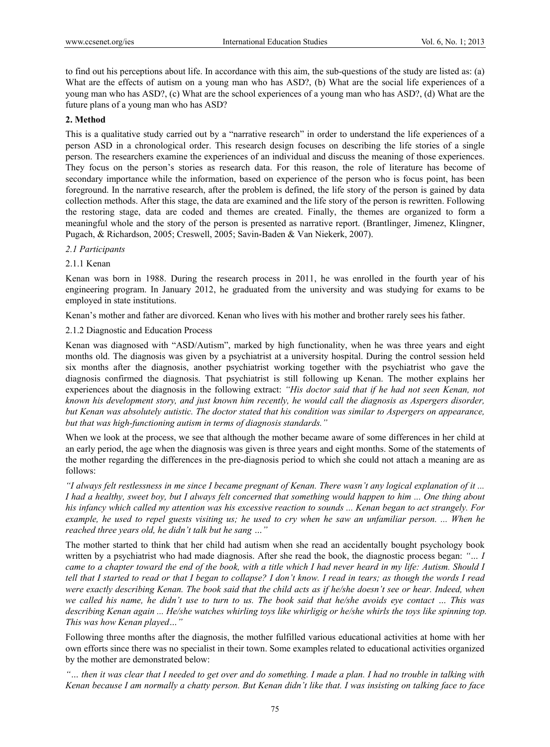to find out his perceptions about life. In accordance with this aim, the sub-questions of the study are listed as: (a) What are the effects of autism on a young man who has ASD?, (b) What are the social life experiences of a young man who has ASD?, (c) What are the school experiences of a young man who has ASD?, (d) What are the future plans of a young man who has ASD?

## **2. Method**

This is a qualitative study carried out by a "narrative research" in order to understand the life experiences of a person ASD in a chronological order. This research design focuses on describing the life stories of a single person. The researchers examine the experiences of an individual and discuss the meaning of those experiences. They focus on the person's stories as research data. For this reason, the role of literature has become of secondary importance while the information, based on experience of the person who is focus point, has been foreground. In the narrative research, after the problem is defined, the life story of the person is gained by data collection methods. After this stage, the data are examined and the life story of the person is rewritten. Following the restoring stage, data are coded and themes are created. Finally, the themes are organized to form a meaningful whole and the story of the person is presented as narrative report. (Brantlinger, Jimenez, Klingner, Pugach, & Richardson, 2005; Creswell, 2005; Savin-Baden & Van Niekerk, 2007).

## *2.1 Participants*

## 2.1.1 Kenan

Kenan was born in 1988. During the research process in 2011, he was enrolled in the fourth year of his engineering program. In January 2012, he graduated from the university and was studying for exams to be employed in state institutions.

Kenan's mother and father are divorced. Kenan who lives with his mother and brother rarely sees his father.

## 2.1.2 Diagnostic and Education Process

Kenan was diagnosed with "ASD/Autism", marked by high functionality, when he was three years and eight months old. The diagnosis was given by a psychiatrist at a university hospital. During the control session held six months after the diagnosis, another psychiatrist working together with the psychiatrist who gave the diagnosis confirmed the diagnosis. That psychiatrist is still following up Kenan. The mother explains her experiences about the diagnosis in the following extract: *"His doctor said that if he had not seen Kenan, not known his development story, and just known him recently, he would call the diagnosis as Aspergers disorder, but Kenan was absolutely autistic. The doctor stated that his condition was similar to Aspergers on appearance, but that was high-functioning autism in terms of diagnosis standards."* 

When we look at the process, we see that although the mother became aware of some differences in her child at an early period, the age when the diagnosis was given is three years and eight months. Some of the statements of the mother regarding the differences in the pre-diagnosis period to which she could not attach a meaning are as follows:

*"I always felt restlessness in me since I became pregnant of Kenan. There wasn't any logical explanation of it ... I had a healthy, sweet boy, but I always felt concerned that something would happen to him ... One thing about his infancy which called my attention was his excessive reaction to sounds ... Kenan began to act strangely. For example, he used to repel guests visiting us; he used to cry when he saw an unfamiliar person. ... When he reached three years old, he didn't talk but he sang …"* 

The mother started to think that her child had autism when she read an accidentally bought psychology book written by a psychiatrist who had made diagnosis. After she read the book, the diagnostic process began: *"… I came to a chapter toward the end of the book, with a title which I had never heard in my life: Autism. Should I tell that I started to read or that I began to collapse? I don't know. I read in tears; as though the words I read were exactly describing Kenan. The book said that the child acts as if he/she doesn't see or hear. Indeed, when we called his name, he didn't use to turn to us. The book said that he/she avoids eye contact … This was describing Kenan again ... He/she watches whirling toys like whirligig or he/she whirls the toys like spinning top. This was how Kenan played…"*

Following three months after the diagnosis, the mother fulfilled various educational activities at home with her own efforts since there was no specialist in their town. Some examples related to educational activities organized by the mother are demonstrated below:

*"… then it was clear that I needed to get over and do something. I made a plan. I had no trouble in talking with Kenan because I am normally a chatty person. But Kenan didn't like that. I was insisting on talking face to face*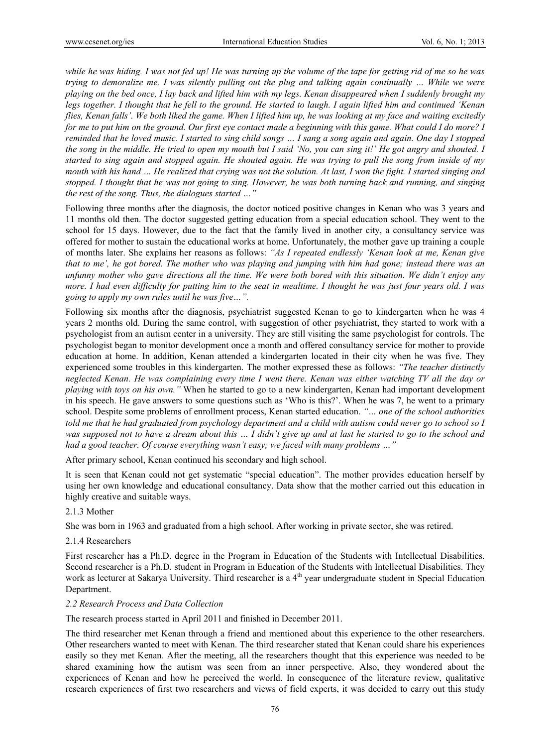*while he was hiding. I was not fed up! He was turning up the volume of the tape for getting rid of me so he was trying to demoralize me. I was silently pulling out the plug and talking again continually … While we were playing on the bed once, I lay back and lifted him with my legs. Kenan disappeared when I suddenly brought my*  legs together. I thought that he fell to the ground. He started to laugh. I again lifted him and continued 'Kenan *flies, Kenan falls'. We both liked the game. When I lifted him up, he was looking at my face and waiting excitedly for me to put him on the ground. Our first eye contact made a beginning with this game. What could I do more? I reminded that he loved music. I started to sing child songs … I sang a song again and again. One day I stopped the song in the middle. He tried to open my mouth but I said 'No, you can sing it!' He got angry and shouted. I started to sing again and stopped again. He shouted again. He was trying to pull the song from inside of my mouth with his hand … He realized that crying was not the solution. At last, I won the fight. I started singing and stopped. I thought that he was not going to sing. However, he was both turning back and running, and singing the rest of the song. Thus, the dialogues started …"* 

Following three months after the diagnosis, the doctor noticed positive changes in Kenan who was 3 years and 11 months old then. The doctor suggested getting education from a special education school. They went to the school for 15 days. However, due to the fact that the family lived in another city, a consultancy service was offered for mother to sustain the educational works at home. Unfortunately, the mother gave up training a couple of months later. She explains her reasons as follows: *"As I repeated endlessly 'Kenan look at me, Kenan give that to me', he got bored. The mother who was playing and jumping with him had gone; instead there was an unfunny mother who gave directions all the time. We were both bored with this situation. We didn't enjoy any more. I had even difficulty for putting him to the seat in mealtime. I thought he was just four years old. I was going to apply my own rules until he was five…".* 

Following six months after the diagnosis, psychiatrist suggested Kenan to go to kindergarten when he was 4 years 2 months old. During the same control, with suggestion of other psychiatrist, they started to work with a psychologist from an autism center in a university. They are still visiting the same psychologist for controls. The psychologist began to monitor development once a month and offered consultancy service for mother to provide education at home. In addition, Kenan attended a kindergarten located in their city when he was five. They experienced some troubles in this kindergarten. The mother expressed these as follows: *"The teacher distinctly neglected Kenan. He was complaining every time I went there. Kenan was either watching TV all the day or playing with toys on his own."* When he started to go to a new kindergarten, Kenan had important development in his speech. He gave answers to some questions such as 'Who is this?'. When he was 7, he went to a primary school. Despite some problems of enrollment process, Kenan started education. *"… one of the school authorities told me that he had graduated from psychology department and a child with autism could never go to school so I was supposed not to have a dream about this … I didn't give up and at last he started to go to the school and had a good teacher. Of course everything wasn't easy; we faced with many problems …"* 

After primary school, Kenan continued his secondary and high school.

It is seen that Kenan could not get systematic "special education". The mother provides education herself by using her own knowledge and educational consultancy. Data show that the mother carried out this education in highly creative and suitable ways.

## 2.1.3 Mother

She was born in 1963 and graduated from a high school. After working in private sector, she was retired.

## 2.1.4 Researchers

First researcher has a Ph.D. degree in the Program in Education of the Students with Intellectual Disabilities. Second researcher is a Ph.D. student in Program in Education of the Students with Intellectual Disabilities. They work as lecturer at Sakarya University. Third researcher is a 4<sup>th</sup> year undergraduate student in Special Education Department.

#### *2.2 Research Process and Data Collection*

The research process started in April 2011 and finished in December 2011.

The third researcher met Kenan through a friend and mentioned about this experience to the other researchers. Other researchers wanted to meet with Kenan. The third researcher stated that Kenan could share his experiences easily so they met Kenan. After the meeting, all the researchers thought that this experience was needed to be shared examining how the autism was seen from an inner perspective. Also, they wondered about the experiences of Kenan and how he perceived the world. In consequence of the literature review, qualitative research experiences of first two researchers and views of field experts, it was decided to carry out this study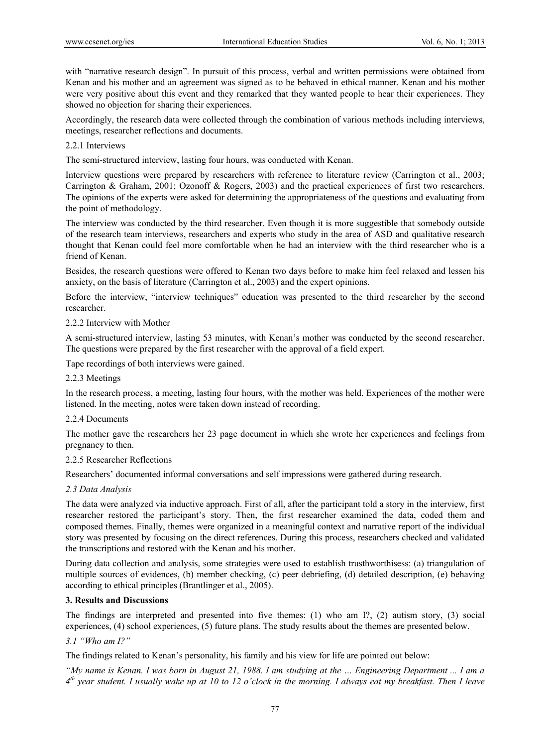with "narrative research design". In pursuit of this process, verbal and written permissions were obtained from Kenan and his mother and an agreement was signed as to be behaved in ethical manner. Kenan and his mother were very positive about this event and they remarked that they wanted people to hear their experiences. They showed no objection for sharing their experiences.

Accordingly, the research data were collected through the combination of various methods including interviews, meetings, researcher reflections and documents.

2.2.1 Interviews

The semi-structured interview, lasting four hours, was conducted with Kenan.

Interview questions were prepared by researchers with reference to literature review (Carrington et al., 2003; Carrington & Graham, 2001; Ozonoff & Rogers, 2003) and the practical experiences of first two researchers. The opinions of the experts were asked for determining the appropriateness of the questions and evaluating from the point of methodology.

The interview was conducted by the third researcher. Even though it is more suggestible that somebody outside of the research team interviews, researchers and experts who study in the area of ASD and qualitative research thought that Kenan could feel more comfortable when he had an interview with the third researcher who is a friend of Kenan.

Besides, the research questions were offered to Kenan two days before to make him feel relaxed and lessen his anxiety, on the basis of literature (Carrington et al., 2003) and the expert opinions.

Before the interview, "interview techniques" education was presented to the third researcher by the second researcher.

## 2.2.2 Interview with Mother

A semi-structured interview, lasting 53 minutes, with Kenan's mother was conducted by the second researcher. The questions were prepared by the first researcher with the approval of a field expert.

Tape recordings of both interviews were gained.

## 2.2.3 Meetings

In the research process, a meeting, lasting four hours, with the mother was held. Experiences of the mother were listened. In the meeting, notes were taken down instead of recording.

#### 2.2.4 Documents

The mother gave the researchers her 23 page document in which she wrote her experiences and feelings from pregnancy to then.

#### 2.2.5 Researcher Reflections

Researchers' documented informal conversations and self impressions were gathered during research.

#### *2.3 Data Analysis*

The data were analyzed via inductive approach. First of all, after the participant told a story in the interview, first researcher restored the participant's story. Then, the first researcher examined the data, coded them and composed themes. Finally, themes were organized in a meaningful context and narrative report of the individual story was presented by focusing on the direct references. During this process, researchers checked and validated the transcriptions and restored with the Kenan and his mother.

During data collection and analysis, some strategies were used to establish trusthworthisess: (a) triangulation of multiple sources of evidences, (b) member checking, (c) peer debriefing, (d) detailed description, (e) behaving according to ethical principles (Brantlinger et al., 2005).

## **3. Results and Discussions**

The findings are interpreted and presented into five themes: (1) who am I?, (2) autism story, (3) social experiences, (4) school experiences, (5) future plans. The study results about the themes are presented below.

## *3.1 "Who am I?"*

The findings related to Kenan's personality, his family and his view for life are pointed out below:

*"My name is Kenan. I was born in August 21, 1988. I am studying at the … Engineering Department ... I am a 4th year student. I usually wake up at 10 to 12 o'clock in the morning. I always eat my breakfast. Then I leave*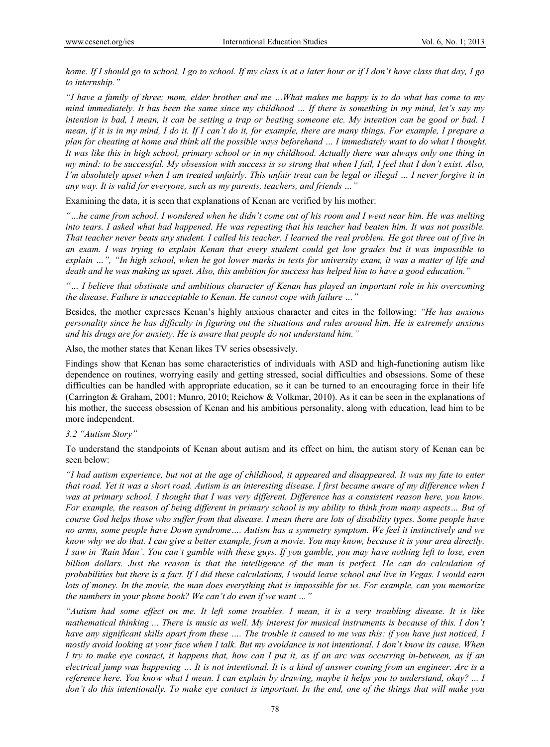*home. If I should go to school, I go to school. If my class is at a later hour or if I don't have class that day, I go to internship."* 

*"I have a family of three; mom, elder brother and me …What makes me happy is to do what has come to my mind immediately. It has been the same since my childhood … If there is something in my mind, let's say my*  intention is bad, I mean, it can be setting a trap or beating someone etc. My intention can be good or bad. I *mean, if it is in my mind, I do it. If I can't do it, for example, there are many things. For example, I prepare a plan for cheating at home and think all the possible ways beforehand … I immediately want to do what I thought. It was like this in high school, primary school or in my childhood. Actually there was always only one thing in my mind: to be successful. My obsession with success is so strong that when I fail, I feel that I don't exist. Also, I'm absolutely upset when I am treated unfairly. This unfair treat can be legal or illegal … I never forgive it in any way. It is valid for everyone, such as my parents, teachers, and friends …"* 

Examining the data, it is seen that explanations of Kenan are verified by his mother:

*"…he came from school. I wondered when he didn't come out of his room and I went near him. He was melting into tears. I asked what had happened. He was repeating that his teacher had beaten him. It was not possible. That teacher never beats any student. I called his teacher. I learned the real problem. He got three out of five in an exam. I was trying to explain Kenan that every student could get low grades but it was impossible to explain …", "In high school, when he got lower marks in tests for university exam, it was a matter of life and death and he was making us upset. Also, this ambition for success has helped him to have a good education."* 

*"… I believe that obstinate and ambitious character of Kenan has played an important role in his overcoming the disease. Failure is unacceptable to Kenan. He cannot cope with failure …"* 

Besides, the mother expresses Kenan's highly anxious character and cites in the following: *"He has anxious personality since he has difficulty in figuring out the situations and rules around him. He is extremely anxious and his drugs are for anxiety. He is aware that people do not understand him."* 

Also, the mother states that Kenan likes TV series obsessively.

Findings show that Kenan has some characteristics of individuals with ASD and high-functioning autism like dependence on routines, worrying easily and getting stressed, social difficulties and obsessions. Some of these difficulties can be handled with appropriate education, so it can be turned to an encouraging force in their life (Carrington & Graham, 2001; Munro, 2010; Reichow & Volkmar, 2010). As it can be seen in the explanations of his mother, the success obsession of Kenan and his ambitious personality, along with education, lead him to be more independent.

# *3.2 "Autism Story"*

To understand the standpoints of Kenan about autism and its effect on him, the autism story of Kenan can be seen below:

*"I had autism experience, but not at the age of childhood, it appeared and disappeared. It was my fate to enter that road. Yet it was a short road. Autism is an interesting disease. I first became aware of my difference when I*  was at primary school. I thought that I was very different. Difference has a consistent reason here, you know. *For example, the reason of being different in primary school is my ability to think from many aspects… But of course God helps those who suffer from that disease. I mean there are lots of disability types. Some people have no arms, some people have Down syndrome…. Autism has a symmetry symptom. We feel it instinctively and we know why we do that. I can give a better example, from a movie. You may know, because it is your area directly. I saw in 'Rain Man'. You can't gamble with these guys. If you gamble, you may have nothing left to lose, even billion dollars. Just the reason is that the intelligence of the man is perfect. He can do calculation of probabilities but there is a fact. If I did these calculations, I would leave school and live in Vegas. I would earn lots of money. In the movie, the man does everything that is impossible for us. For example, can you memorize the numbers in your phone book? We can't do even if we want …"* 

*"Autism had some effect on me. It left some troubles. I mean, it is a very troubling disease. It is like mathematical thinking ... There is music as well. My interest for musical instruments is because of this. I don't have any significant skills apart from these …. The trouble it caused to me was this: if you have just noticed, I mostly avoid looking at your face when I talk. But my avoidance is not intentional. I don't know its cause. When I try to make eye contact, it happens that, how can I put it, as if an arc was occurring in-between, as if an electrical jump was happening … It is not intentional. It is a kind of answer coming from an engineer. Arc is a reference here. You know what I mean. I can explain by drawing, maybe it helps you to understand, okay? ... I don't do this intentionally. To make eye contact is important. In the end, one of the things that will make you*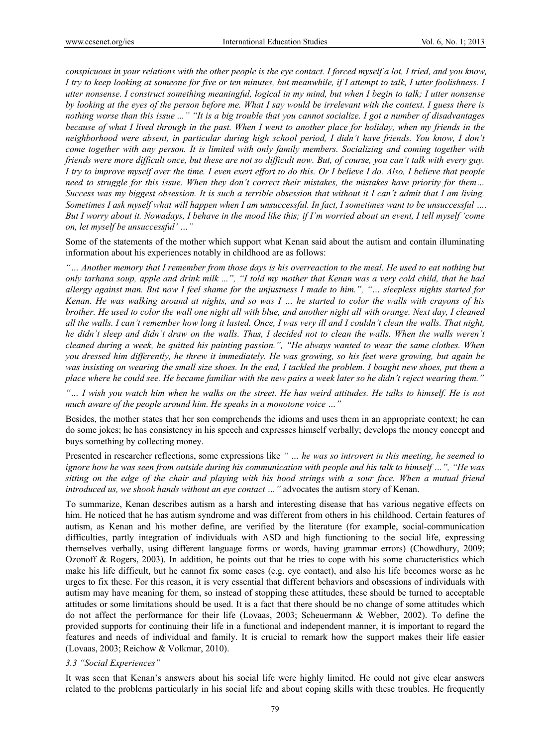*conspicuous in your relations with the other people is the eye contact. I forced myself a lot, I tried, and you know, I try to keep looking at someone for five or ten minutes, but meanwhile, if I attempt to talk, I utter foolishness. I utter nonsense. I construct something meaningful, logical in my mind, but when I begin to talk; I utter nonsense by looking at the eyes of the person before me. What I say would be irrelevant with the context. I guess there is nothing worse than this issue ..." "It is a big trouble that you cannot socialize. I got a number of disadvantages because of what I lived through in the past. When I went to another place for holiday, when my friends in the neighborhood were absent, in particular during high school period, I didn't have friends. You know, I don't come together with any person. It is limited with only family members. Socializing and coming together with friends were more difficult once, but these are not so difficult now. But, of course, you can't talk with every guy. I try to improve myself over the time. I even exert effort to do this. Or I believe I do. Also, I believe that people need to struggle for this issue. When they don't correct their mistakes, the mistakes have priority for them… Success was my biggest obsession. It is such a terrible obsession that without it I can't admit that I am living. Sometimes I ask myself what will happen when I am unsuccessful. In fact, I sometimes want to be unsuccessful …. But I worry about it. Nowadays, I behave in the mood like this; if I'm worried about an event, I tell myself 'come on, let myself be unsuccessful' …"* 

Some of the statements of the mother which support what Kenan said about the autism and contain illuminating information about his experiences notably in childhood are as follows:

*"… Another memory that I remember from those days is his overreaction to the meal. He used to eat nothing but only tarhana soup, apple and drink milk ...", "I told my mother that Kenan was a very cold child, that he had allergy against man. But now I feel shame for the unjustness I made to him.", "… sleepless nights started for Kenan. He was walking around at nights, and so was I … he started to color the walls with crayons of his brother. He used to color the wall one night all with blue, and another night all with orange. Next day, I cleaned all the walls. I can't remember how long it lasted. Once, I was very ill and I couldn't clean the walls. That night, he didn't sleep and didn't draw on the walls. Thus, I decided not to clean the walls. When the walls weren't cleaned during a week, he quitted his painting passion.", "He always wanted to wear the same clothes. When you dressed him differently, he threw it immediately. He was growing, so his feet were growing, but again he was insisting on wearing the small size shoes. In the end, I tackled the problem. I bought new shoes, put them a place where he could see. He became familiar with the new pairs a week later so he didn't reject wearing them."* 

*"… I wish you watch him when he walks on the street. He has weird attitudes. He talks to himself. He is not much aware of the people around him. He speaks in a monotone voice …"* 

Besides, the mother states that her son comprehends the idioms and uses them in an appropriate context; he can do some jokes; he has consistency in his speech and expresses himself verbally; develops the money concept and buys something by collecting money.

Presented in researcher reflections, some expressions like *" … he was so introvert in this meeting, he seemed to ignore how he was seen from outside during his communication with people and his talk to himself …", "He was sitting on the edge of the chair and playing with his hood strings with a sour face. When a mutual friend introduced us, we shook hands without an eye contact …"* advocates the autism story of Kenan.

To summarize, Kenan describes autism as a harsh and interesting disease that has various negative effects on him. He noticed that he has autism syndrome and was different from others in his childhood. Certain features of autism, as Kenan and his mother define, are verified by the literature (for example, social-communication difficulties, partly integration of individuals with ASD and high functioning to the social life, expressing themselves verbally, using different language forms or words, having grammar errors) (Chowdhury, 2009; Ozonoff & Rogers, 2003). In addition, he points out that he tries to cope with his some characteristics which make his life difficult, but he cannot fix some cases (e.g. eye contact), and also his life becomes worse as he urges to fix these. For this reason, it is very essential that different behaviors and obsessions of individuals with autism may have meaning for them, so instead of stopping these attitudes, these should be turned to acceptable attitudes or some limitations should be used. It is a fact that there should be no change of some attitudes which do not affect the performance for their life (Lovaas, 2003; Scheuermann & Webber, 2002). To define the provided supports for continuing their life in a functional and independent manner, it is important to regard the features and needs of individual and family. It is crucial to remark how the support makes their life easier (Lovaas, 2003; Reichow & Volkmar, 2010).

## *3.3 "Social Experiences"*

It was seen that Kenan's answers about his social life were highly limited. He could not give clear answers related to the problems particularly in his social life and about coping skills with these troubles. He frequently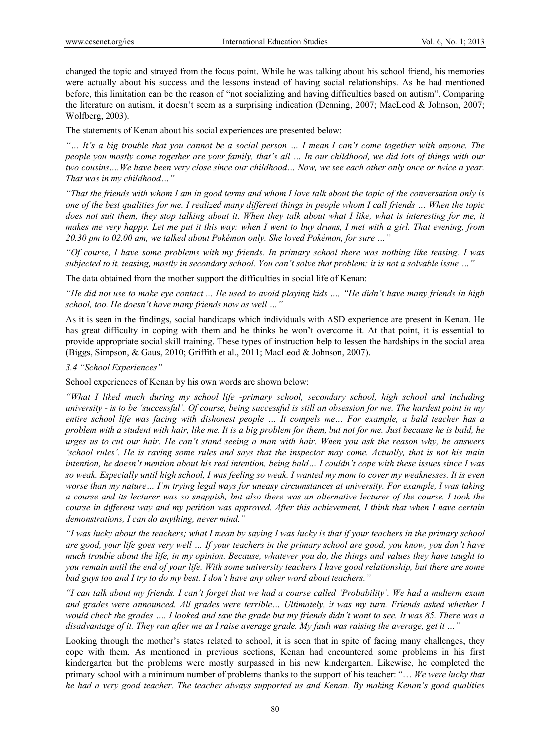changed the topic and strayed from the focus point. While he was talking about his school friend, his memories were actually about his success and the lessons instead of having social relationships. As he had mentioned before, this limitation can be the reason of "not socializing and having difficulties based on autism". Comparing the literature on autism, it doesn't seem as a surprising indication (Denning, 2007; MacLeod & Johnson, 2007; Wolfberg, 2003).

The statements of Kenan about his social experiences are presented below:

*"… It's a big trouble that you cannot be a social person … I mean I can't come together with anyone. The people you mostly come together are your family, that's all … In our childhood, we did lots of things with our two cousins….We have been very close since our childhood… Now, we see each other only once or twice a year. That was in my childhood…"* 

*"That the friends with whom I am in good terms and whom I love talk about the topic of the conversation only is one of the best qualities for me. I realized many different things in people whom I call friends … When the topic*  does not suit them, they stop talking about it. When they talk about what I like, what is interesting for me, it *makes me very happy. Let me put it this way: when I went to buy drums, I met with a girl. That evening, from 20.30 pm to 02.00 am, we talked about Pokémon only. She loved Pokémon, for sure …"* 

*"Of course, I have some problems with my friends. In primary school there was nothing like teasing. I was subjected to it, teasing, mostly in secondary school. You can't solve that problem; it is not a solvable issue …"* 

The data obtained from the mother support the difficulties in social life of Kenan:

*"He did not use to make eye contact ... He used to avoid playing kids …, "He didn't have many friends in high school, too. He doesn't have many friends now as well …"* 

As it is seen in the findings, social handicaps which individuals with ASD experience are present in Kenan. He has great difficulty in coping with them and he thinks he won't overcome it. At that point, it is essential to provide appropriate social skill training. These types of instruction help to lessen the hardships in the social area (Biggs, Simpson, & Gaus, 2010; Griffith et al., 2011; MacLeod & Johnson, 2007).

## *3.4 "School Experiences"*

School experiences of Kenan by his own words are shown below:

*"What I liked much during my school life -primary school, secondary school, high school and including university - is to be 'successful'. Of course, being successful is still an obsession for me. The hardest point in my entire school life was facing with dishonest people … It compels me… For example, a bald teacher has a problem with a student with hair, like me. It is a big problem for them, but not for me. Just because he is bald, he urges us to cut our hair. He can't stand seeing a man with hair. When you ask the reason why, he answers 'school rules'. He is raving some rules and says that the inspector may come. Actually, that is not his main intention, he doesn't mention about his real intention, being bald… I couldn't cope with these issues since I was so weak. Especially until high school, I was feeling so weak. I wanted my mom to cover my weaknesses. It is even worse than my nature… I'm trying legal ways for uneasy circumstances at university. For example, I was taking a course and its lecturer was so snappish, but also there was an alternative lecturer of the course. I took the course in different way and my petition was approved. After this achievement, I think that when I have certain demonstrations, I can do anything, never mind."* 

*"I was lucky about the teachers; what I mean by saying I was lucky is that if your teachers in the primary school are good, your life goes very well … If your teachers in the primary school are good, you know, you don't have much trouble about the life, in my opinion. Because, whatever you do, the things and values they have taught to you remain until the end of your life. With some university teachers I have good relationship, but there are some bad guys too and I try to do my best. I don't have any other word about teachers."* 

*"I can talk about my friends. I can't forget that we had a course called 'Probability'. We had a midterm exam and grades were announced. All grades were terrible… Ultimately, it was my turn. Friends asked whether I would check the grades …. I looked and saw the grade but my friends didn't want to see. It was 85. There was a disadvantage of it. They ran after me as I raise average grade. My fault was raising the average, get it …"* 

Looking through the mother's states related to school, it is seen that in spite of facing many challenges, they cope with them. As mentioned in previous sections, Kenan had encountered some problems in his first kindergarten but the problems were mostly surpassed in his new kindergarten. Likewise, he completed the primary school with a minimum number of problems thanks to the support of his teacher: "… *We were lucky that he had a very good teacher. The teacher always supported us and Kenan. By making Kenan's good qualities*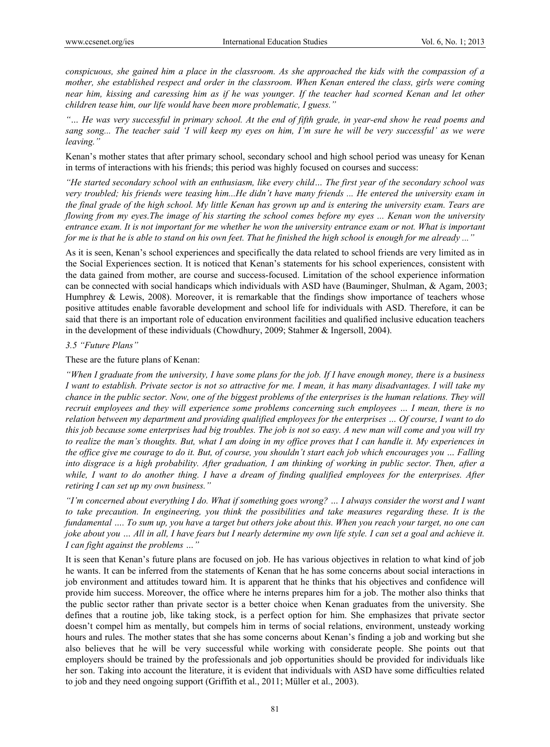*conspicuous, she gained him a place in the classroom. As she approached the kids with the compassion of a mother, she established respect and order in the classroom. When Kenan entered the class, girls were coming near him, kissing and caressing him as if he was younger. If the teacher had scorned Kenan and let other children tease him, our life would have been more problematic, I guess."*

*"… He was very successful in primary school. At the end of fifth grade, in year-end show he read poems and sang song... The teacher said 'I will keep my eyes on him, I'm sure he will be very successful' as we were leaving."* 

Kenan's mother states that after primary school, secondary school and high school period was uneasy for Kenan in terms of interactions with his friends; this period was highly focused on courses and success:

*"He started secondary school with an enthusiasm, like every child… The first year of the secondary school was very troubled; his friends were teasing him...He didn't have many friends ... He entered the university exam in the final grade of the high school. My little Kenan has grown up and is entering the university exam. Tears are flowing from my eyes.The image of his starting the school comes before my eyes ... Kenan won the university entrance exam. It is not important for me whether he won the university entrance exam or not. What is important for me is that he is able to stand on his own feet. That he finished the high school is enough for me already ..."* 

As it is seen, Kenan's school experiences and specifically the data related to school friends are very limited as in the Social Experiences section. It is noticed that Kenan's statements for his school experiences, consistent with the data gained from mother, are course and success-focused. Limitation of the school experience information can be connected with social handicaps which individuals with ASD have (Bauminger, Shulman, & Agam, 2003; Humphrey & Lewis, 2008). Moreover, it is remarkable that the findings show importance of teachers whose positive attitudes enable favorable development and school life for individuals with ASD. Therefore, it can be said that there is an important role of education environment facilities and qualified inclusive education teachers in the development of these individuals (Chowdhury, 2009; Stahmer & Ingersoll, 2004).

## *3.5 "Future Plans"*

These are the future plans of Kenan:

*"When I graduate from the university, I have some plans for the job. If I have enough money, there is a business I want to establish. Private sector is not so attractive for me. I mean, it has many disadvantages. I will take my chance in the public sector. Now, one of the biggest problems of the enterprises is the human relations. They will recruit employees and they will experience some problems concerning such employees … I mean, there is no relation between my department and providing qualified employees for the enterprises … Of course, I want to do this job because some enterprises had big troubles. The job is not so easy. A new man will come and you will try to realize the man's thoughts. But, what I am doing in my office proves that I can handle it. My experiences in the office give me courage to do it. But, of course, you shouldn't start each job which encourages you … Falling into disgrace is a high probability. After graduation, I am thinking of working in public sector. Then, after a while, I want to do another thing. I have a dream of finding qualified employees for the enterprises. After retiring I can set up my own business."* 

*"I'm concerned about everything I do. What if something goes wrong? … I always consider the worst and I want to take precaution. In engineering, you think the possibilities and take measures regarding these. It is the fundamental …. To sum up, you have a target but others joke about this. When you reach your target, no one can joke about you ... All in all, I have fears but I nearly determine my own life style. I can set a goal and achieve it. I can fight against the problems …"* 

It is seen that Kenan's future plans are focused on job. He has various objectives in relation to what kind of job he wants. It can be inferred from the statements of Kenan that he has some concerns about social interactions in job environment and attitudes toward him. It is apparent that he thinks that his objectives and confidence will provide him success. Moreover, the office where he interns prepares him for a job. The mother also thinks that the public sector rather than private sector is a better choice when Kenan graduates from the university. She defines that a routine job, like taking stock, is a perfect option for him. She emphasizes that private sector doesn't compel him as mentally, but compels him in terms of social relations, environment, unsteady working hours and rules. The mother states that she has some concerns about Kenan's finding a job and working but she also believes that he will be very successful while working with considerate people. She points out that employers should be trained by the professionals and job opportunities should be provided for individuals like her son. Taking into account the literature, it is evident that individuals with ASD have some difficulties related to job and they need ongoing support (Griffith et al., 2011; Müller et al., 2003).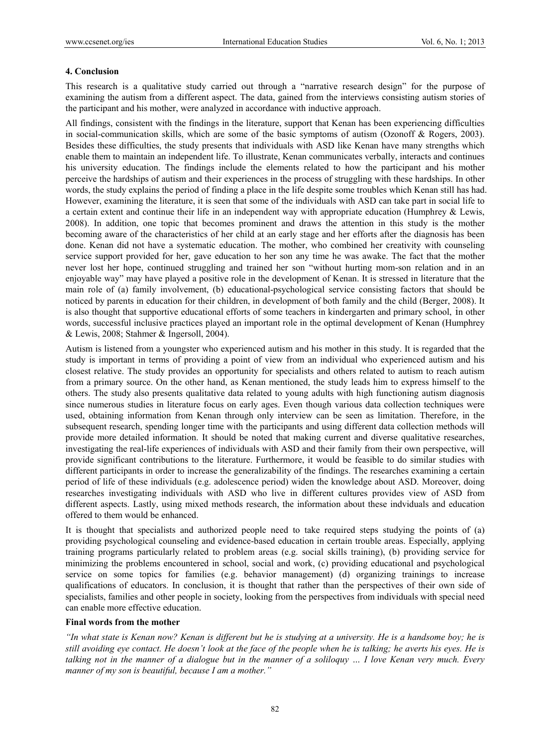#### **4. Conclusion**

This research is a qualitative study carried out through a "narrative research design" for the purpose of examining the autism from a different aspect. The data, gained from the interviews consisting autism stories of the participant and his mother, were analyzed in accordance with inductive approach.

All findings, consistent with the findings in the literature, support that Kenan has been experiencing difficulties in social-communication skills, which are some of the basic symptoms of autism (Ozonoff & Rogers, 2003). Besides these difficulties, the study presents that individuals with ASD like Kenan have many strengths which enable them to maintain an independent life. To illustrate, Kenan communicates verbally, interacts and continues his university education. The findings include the elements related to how the participant and his mother perceive the hardships of autism and their experiences in the process of struggling with these hardships. In other words, the study explains the period of finding a place in the life despite some troubles which Kenan still has had. However, examining the literature, it is seen that some of the individuals with ASD can take part in social life to a certain extent and continue their life in an independent way with appropriate education (Humphrey & Lewis, 2008). In addition, one topic that becomes prominent and draws the attention in this study is the mother becoming aware of the characteristics of her child at an early stage and her efforts after the diagnosis has been done. Kenan did not have a systematic education. The mother, who combined her creativity with counseling service support provided for her, gave education to her son any time he was awake. The fact that the mother never lost her hope, continued struggling and trained her son "without hurting mom-son relation and in an enjoyable way" may have played a positive role in the development of Kenan. It is stressed in literature that the main role of (a) family involvement, (b) educational-psychological service consisting factors that should be noticed by parents in education for their children, in development of both family and the child (Berger, 2008). It is also thought that supportive educational efforts of some teachers in kindergarten and primary school, in other words, successful inclusive practices played an important role in the optimal development of Kenan (Humphrey & Lewis, 2008; Stahmer & Ingersoll, 2004).

Autism is listened from a youngster who experienced autism and his mother in this study. It is regarded that the study is important in terms of providing a point of view from an individual who experienced autism and his closest relative. The study provides an opportunity for specialists and others related to autism to reach autism from a primary source. On the other hand, as Kenan mentioned, the study leads him to express himself to the others. The study also presents qualitative data related to young adults with high functioning autism diagnosis since numerous studies in literature focus on early ages. Even though various data collection techniques were used, obtaining information from Kenan through only interview can be seen as limitation. Therefore, in the subsequent research, spending longer time with the participants and using different data collection methods will provide more detailed information. It should be noted that making current and diverse qualitative researches, investigating the real-life experiences of individuals with ASD and their family from their own perspective, will provide significant contributions to the literature. Furthermore, it would be feasible to do similar studies with different participants in order to increase the generalizability of the findings. The researches examining a certain period of life of these individuals (e.g. adolescence period) widen the knowledge about ASD. Moreover, doing researches investigating individuals with ASD who live in different cultures provides view of ASD from different aspects. Lastly, using mixed methods research, the information about these indviduals and education offered to them would be enhanced.

It is thought that specialists and authorized people need to take required steps studying the points of (a) providing psychological counseling and evidence-based education in certain trouble areas. Especially, applying training programs particularly related to problem areas (e.g. social skills training), (b) providing service for minimizing the problems encountered in school, social and work, (c) providing educational and psychological service on some topics for families (e.g. behavior management) (d) organizing trainings to increase qualifications of educators. In conclusion, it is thought that rather than the perspectives of their own side of specialists, families and other people in society, looking from the perspectives from individuals with special need can enable more effective education.

# **Final words from the mother**

*"In what state is Kenan now? Kenan is different but he is studying at a university. He is a handsome boy; he is still avoiding eye contact. He doesn't look at the face of the people when he is talking; he averts his eyes. He is talking not in the manner of a dialogue but in the manner of a soliloquy … I love Kenan very much. Every manner of my son is beautiful, because I am a mother."*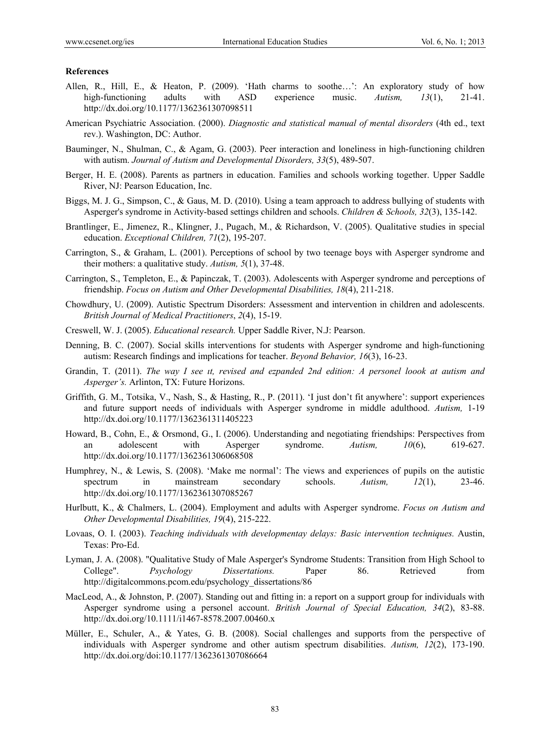#### **References**

- Allen, R., Hill, E., & Heaton, P. (2009). 'Hath charms to soothe…': An exploratory study of how high-functioning adults with ASD experience music. *Autism, 13*(1), 21-41. http://dx.doi.org/10.1177/1362361307098511
- American Psychiatric Association. (2000). *Diagnostic and statistical manual of mental disorders* (4th ed., text rev.). Washington, DC: Author.
- Bauminger, N., Shulman, C., & Agam, G. (2003). Peer interaction and loneliness in high-functioning children with autism. *Journal of Autism and Developmental Disorders, 33*(5), 489-507.
- Berger, H. E. (2008). Parents as partners in education. Families and schools working together. Upper Saddle River, NJ: Pearson Education, Inc.
- Biggs, M. J. G., Simpson, C., & Gaus, M. D. (2010). Using a team approach to address bullying of students with Asperger's syndrome in Activity-based settings children and schools. *Children & Schools, 32*(3), 135-142.
- Brantlinger, E., Jimenez, R., Klingner, J., Pugach, M., & Richardson, V. (2005). Qualitative studies in special education. *Exceptional Children, 71*(2), 195-207.
- Carrington, S., & Graham, L. (2001). Perceptions of school by two teenage boys with Asperger syndrome and their mothers: a qualitative study. *Autism, 5*(1), 37-48.
- Carrington, S., Templeton, E., & Papinczak, T. (2003). Adolescents with Asperger syndrome and perceptions of friendship. *Focus on Autism and Other Developmental Disabilities, 18*(4), 211-218.
- Chowdhury, U. (2009). Autistic Spectrum Disorders: Assessment and intervention in children and adolescents. *British Journal of Medical Practitioners*, *2*(4), 15-19.
- Creswell, W. J. (2005). *Educational research.* Upper Saddle River, N.J: Pearson.
- Denning, B. C. (2007). Social skills interventions for students with Asperger syndrome and high-functioning autism: Research findings and implications for teacher. *Beyond Behavior, 16*(3), 16-23.
- Grandin, T. (2011). *The way I see ıt, revised and ezpanded 2nd edition: A personel loook at autism and Asperger's.* Arlinton, TX: Future Horizons.
- Griffith, G. M., Totsika, V., Nash, S., & Hasting, R., P. (2011). 'I just don't fit anywhere': support experiences and future support needs of individuals with Asperger syndrome in middle adulthood. *Autism,* 1-19 http://dx.doi.org/10.1177/1362361311405223
- Howard, B., Cohn, E., & Orsmond, G., I. (2006). Understanding and negotiating friendships: Perspectives from an adolescent with Asperger syndrome. *Autism, 10*(6), 619-627. http://dx.doi.org/10.1177/1362361306068508
- Humphrey, N., & Lewis, S. (2008). 'Make me normal': The views and experiences of pupils on the autistic spectrum in mainstream secondary schools. *Autism, 12*(1), 23-46. http://dx.doi.org/10.1177/1362361307085267
- Hurlbutt, K., & Chalmers, L. (2004). Employment and adults with Asperger syndrome. *Focus on Autism and Other Developmental Disabilities, 19*(4), 215-222.
- Lovaas, O. I. (2003). *Teaching individuals with developmentay delays: Basic intervention techniques.* Austin, Texas: Pro-Ed.
- Lyman, J. A. (2008). "Qualitative Study of Male Asperger's Syndrome Students: Transition from High School to College". *Psychology Dissertations.* Paper 86. Retrieved from http://digitalcommons.pcom.edu/psychology\_dissertations/86
- MacLeod, A., & Johnston, P. (2007). Standing out and fitting in: a report on a support group for individuals with Asperger syndrome using a personel account. *British Journal of Special Education, 34*(2), 83-88. http://dx.doi.org/10.1111/i1467-8578.2007.00460.x
- Müller, E., Schuler, A., & Yates, G. B. (2008). Social challenges and supports from the perspective of individuals with Asperger syndrome and other autism spectrum disabilities. *Autism, 12*(2), 173-190. http://dx.doi.org/doi:10.1177/1362361307086664